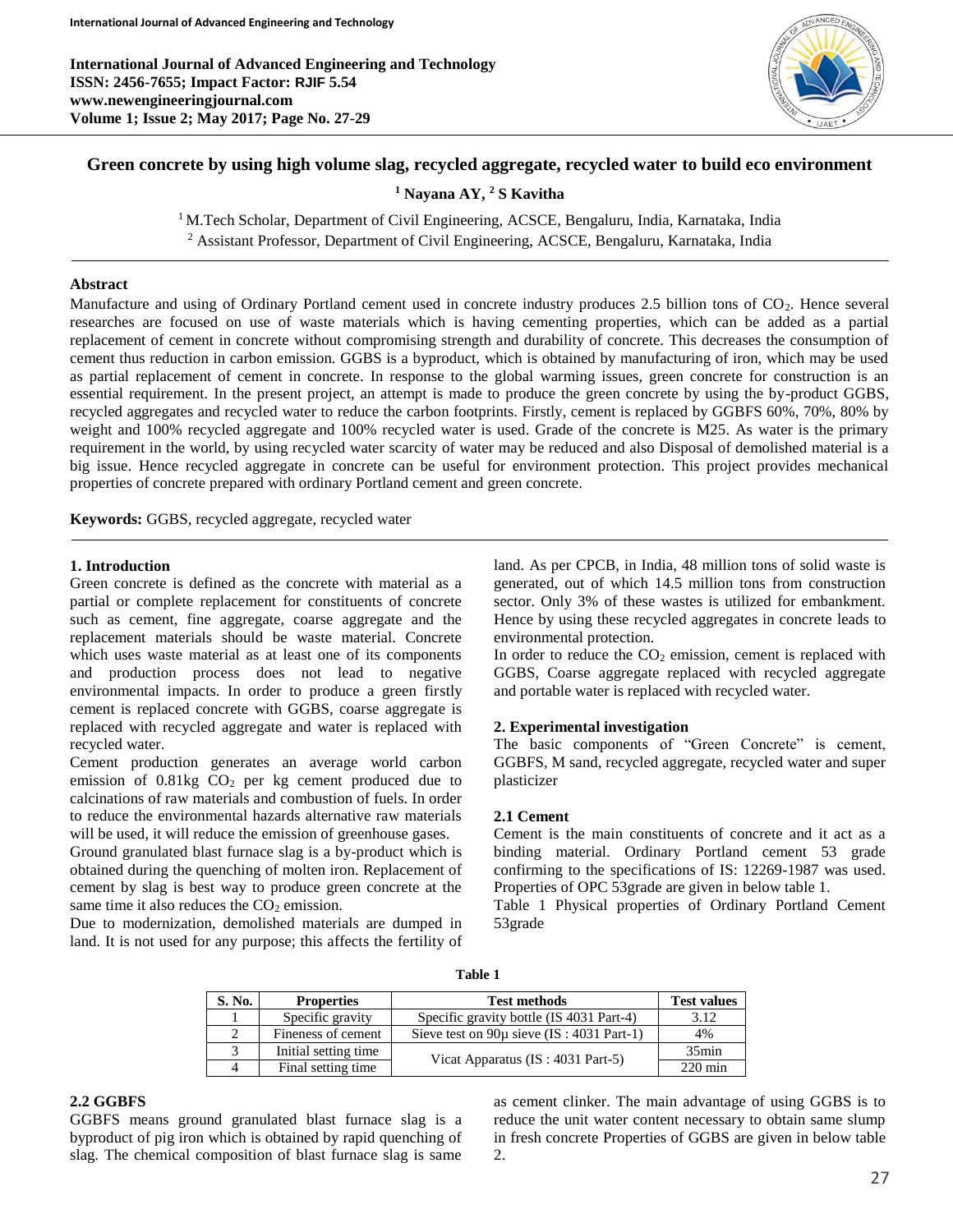

# **Green concrete by using high volume slag, recycled aggregate, recycled water to build eco environment**

**<sup>1</sup> Nayana AY, <sup>2</sup> S Kavitha**

<sup>1</sup> M.Tech Scholar, Department of Civil Engineering, ACSCE, Bengaluru, India, Karnataka, India

<sup>2</sup> Assistant Professor, Department of Civil Engineering, ACSCE, Bengaluru, Karnataka, India

## **Abstract**

Manufacture and using of Ordinary Portland cement used in concrete industry produces 2.5 billion tons of CO<sub>2</sub>. Hence several researches are focused on use of waste materials which is having cementing properties, which can be added as a partial replacement of cement in concrete without compromising strength and durability of concrete. This decreases the consumption of cement thus reduction in carbon emission. GGBS is a byproduct, which is obtained by manufacturing of iron, which may be used as partial replacement of cement in concrete. In response to the global warming issues, green concrete for construction is an essential requirement. In the present project, an attempt is made to produce the green concrete by using the by-product GGBS, recycled aggregates and recycled water to reduce the carbon footprints. Firstly, cement is replaced by GGBFS 60%, 70%, 80% by weight and 100% recycled aggregate and 100% recycled water is used. Grade of the concrete is M25. As water is the primary requirement in the world, by using recycled water scarcity of water may be reduced and also Disposal of demolished material is a big issue. Hence recycled aggregate in concrete can be useful for environment protection. This project provides mechanical properties of concrete prepared with ordinary Portland cement and green concrete.

**Keywords:** GGBS, recycled aggregate, recycled water

#### **1. Introduction**

Green concrete is defined as the concrete with material as a partial or complete replacement for constituents of concrete such as cement, fine aggregate, coarse aggregate and the replacement materials should be waste material. Concrete which uses waste material as at least one of its components and production process does not lead to negative environmental impacts. In order to produce a green firstly cement is replaced concrete with GGBS, coarse aggregate is replaced with recycled aggregate and water is replaced with recycled water.

Cement production generates an average world carbon emission of  $0.81\text{kg}$  CO<sub>2</sub> per kg cement produced due to calcinations of raw materials and combustion of fuels. In order to reduce the environmental hazards alternative raw materials will be used, it will reduce the emission of greenhouse gases.

Ground granulated blast furnace slag is a by-product which is obtained during the quenching of molten iron. Replacement of cement by slag is best way to produce green concrete at the same time it also reduces the  $CO<sub>2</sub>$  emission.

Due to modernization, demolished materials are dumped in land. It is not used for any purpose; this affects the fertility of land. As per CPCB, in India, 48 million tons of solid waste is generated, out of which 14.5 million tons from construction sector. Only 3% of these wastes is utilized for embankment. Hence by using these recycled aggregates in concrete leads to environmental protection.

In order to reduce the  $CO<sub>2</sub>$  emission, cement is replaced with GGBS, Coarse aggregate replaced with recycled aggregate and portable water is replaced with recycled water.

### **2. Experimental investigation**

The basic components of "Green Concrete" is cement, GGBFS, M sand, recycled aggregate, recycled water and super plasticizer

#### **2.1 Cement**

Cement is the main constituents of concrete and it act as a binding material. Ordinary Portland cement 53 grade confirming to the specifications of IS: 12269-1987 was used. Properties of OPC 53grade are given in below table 1.

Table 1 Physical properties of Ordinary Portland Cement 53grade

| S. No. | <b>Properties</b>    | <b>Test methods</b>                           | <b>Test values</b> |
|--------|----------------------|-----------------------------------------------|--------------------|
|        | Specific gravity     | Specific gravity bottle (IS 4031 Part-4)      | 3.12               |
|        | Fineness of cement   | Sieve test on $90\mu$ sieve (IS: 4031 Part-1) | 4%                 |
|        | Initial setting time |                                               | $35$ min           |
|        | Final setting time   | Vicat Apparatus (IS: 4031 Part-5)             | $220 \text{ min}$  |

# **2.2 GGBFS**

GGBFS means ground granulated blast furnace slag is a byproduct of pig iron which is obtained by rapid quenching of slag. The chemical composition of blast furnace slag is same

as cement clinker. The main advantage of using GGBS is to reduce the unit water content necessary to obtain same slump in fresh concrete Properties of GGBS are given in below table 2.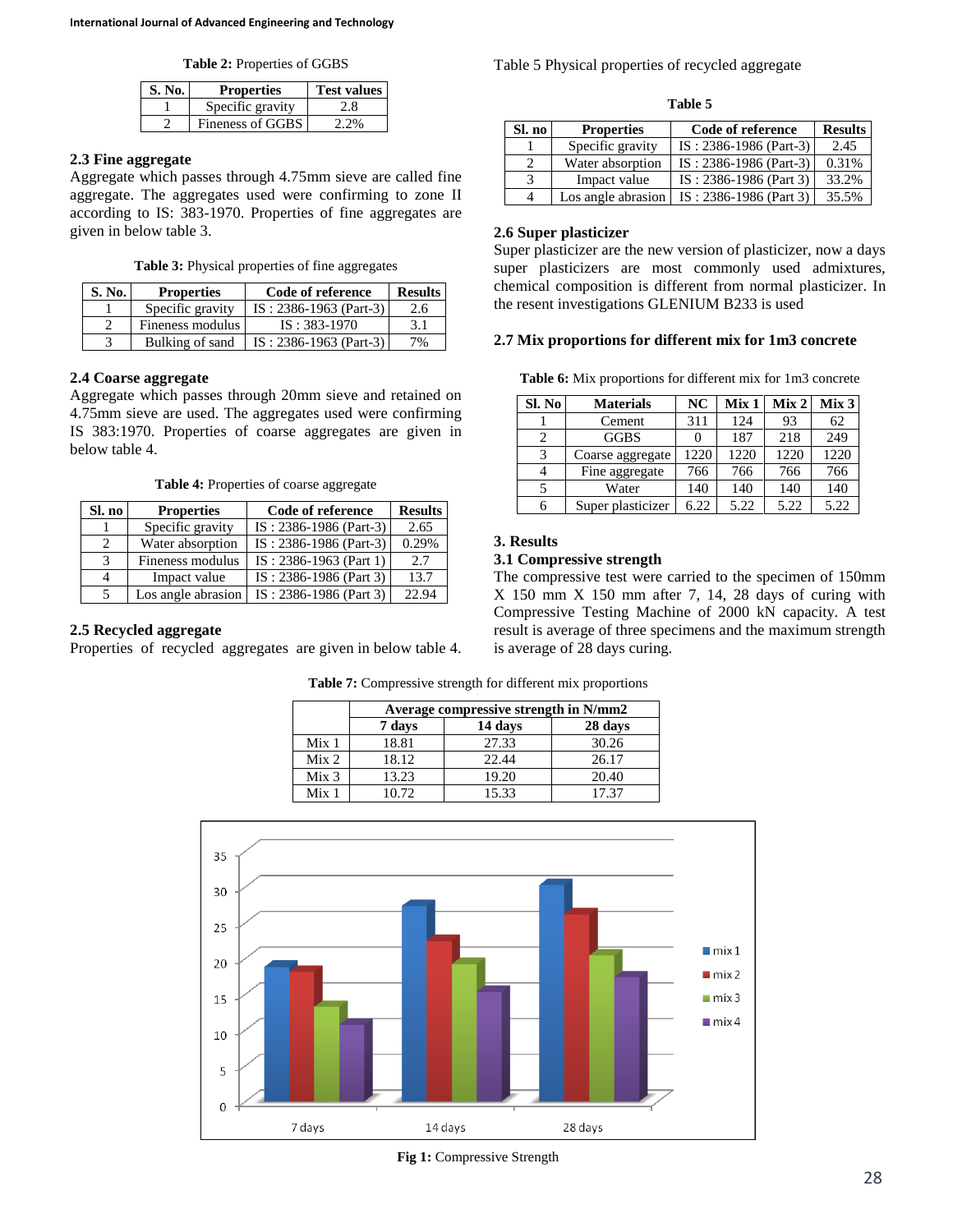**Table 2:** Properties of GGBS

| <b>S. No.</b> | <b>Properties</b> | <b>Test values</b> |
|---------------|-------------------|--------------------|
|               | Specific gravity  |                    |
|               | Fineness of GGBS  | 2.2%               |

# **2.3 Fine aggregate**

Aggregate which passes through 4.75mm sieve are called fine aggregate. The aggregates used were confirming to zone II according to IS: 383-1970. Properties of fine aggregates are given in below table 3.

**Table 3:** Physical properties of fine aggregates

| <b>S. No.</b> | <b>Properties</b> | Code of reference        | <b>Results</b> |
|---------------|-------------------|--------------------------|----------------|
|               | Specific gravity  | $IS: 2386-1963$ (Part-3) | 2.6            |
|               | Fineness modulus  | $IS: 383-1970$           | 3.1            |
|               | Bulking of sand   | $IS: 2386-1963$ (Part-3) | 7%             |

## **2.4 Coarse aggregate**

Aggregate which passes through 20mm sieve and retained on 4.75mm sieve are used. The aggregates used were confirming IS 383:1970. Properties of coarse aggregates are given in below table 4.

**Table 4:** Properties of coarse aggregate

| Sl. no        | <b>Properties</b>  | Code of reference        | <b>Results</b> |
|---------------|--------------------|--------------------------|----------------|
|               | Specific gravity   | IS: 2386-1986 (Part-3)   | 2.65           |
|               | Water absorption   | IS: 2386-1986 (Part-3)   | 0.29%          |
| $\mathcal{R}$ | Fineness modulus   | $IS: 2386-1963$ (Part 1) | 2.7            |
|               | Impact value       | IS: 2386-1986 (Part 3)   | 13.7           |
|               | Los angle abrasion | IS: 2386-1986 (Part 3)   | 22.94          |

# **2.5 Recycled aggregate**

Properties of recycled aggregates are given in below table 4.

| Table 5 Physical properties of recycled aggregate |  |  |  |
|---------------------------------------------------|--|--|--|
|---------------------------------------------------|--|--|--|

| .<br>۰.<br>×<br>×<br>۰, | $\sim$ |
|-------------------------|--------|
|-------------------------|--------|

| Sl. no         | <b>Properties</b>  | Code of reference        | <b>Results</b> |
|----------------|--------------------|--------------------------|----------------|
|                | Specific gravity   | $IS: 2386-1986$ (Part-3) | 2.45           |
| $\mathcal{D}$  | Water absorption   | $IS: 2386-1986$ (Part-3) | 0.31%          |
| 3              | Impact value       | $IS: 2386-1986$ (Part 3) | 33.2%          |
| $\overline{4}$ | Los angle abrasion | $IS: 2386-1986$ (Part 3) | 35.5%          |

# **2.6 Super plasticizer**

Super plasticizer are the new version of plasticizer, now a days super plasticizers are most commonly used admixtures, chemical composition is different from normal plasticizer. In the resent investigations GLENIUM B233 is used

## **2.7 Mix proportions for different mix for 1m3 concrete**

**Table 6:** Mix proportions for different mix for 1m3 concrete

| Sl. No | <b>Materials</b>  | NC   | Mix 1 | Mix <sub>2</sub> | Mix 3 |
|--------|-------------------|------|-------|------------------|-------|
|        | Cement            | 311  | 124   | 93               | 62    |
| 2      | <b>GGBS</b>       |      | 187   | 218              | 249   |
| 3      | Coarse aggregate  | 1220 | 1220  | 1220             | 1220  |
|        | Fine aggregate    | 766  | 766   | 766              | 766   |
|        | Water             | 140  | 140   | 140              | 140   |
|        | Super plasticizer | 6.22 | 5.22  | 5.22             | 5.22  |

# **3. Results**

# **3.1 Compressive strength**

The compressive test were carried to the specimen of 150mm X 150 mm X 150 mm after 7, 14, 28 days of curing with Compressive Testing Machine of 2000 kN capacity. A test result is average of three specimens and the maximum strength is average of 28 days curing.

|                  | Average compressive strength in N/mm2 |       |       |
|------------------|---------------------------------------|-------|-------|
|                  | 14 days<br>28 days<br>7 days          |       |       |
| Mix <sub>1</sub> | 18.81                                 | 27.33 | 30.26 |
| Mix <sub>2</sub> | 18.12                                 | 22.44 | 26.17 |
| Mix <sub>3</sub> | 13.23                                 | 19.20 | 20.40 |
| Mix 1            | 10.72                                 | 15.33 | 17.37 |

**Table 7:** Compressive strength for different mix proportions



**Fig 1:** Compressive Strength